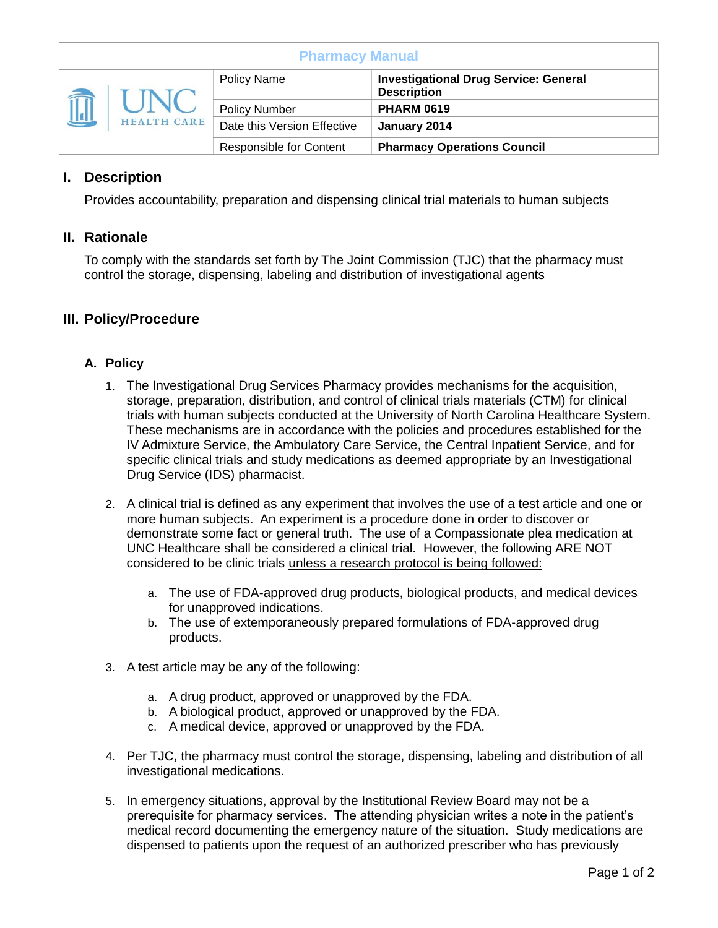| <b>Pharmacy Manual</b> |                    |                                |                                                                    |
|------------------------|--------------------|--------------------------------|--------------------------------------------------------------------|
| $\sqrt{\frac{1}{2}}$   | <b>HEALTH CARE</b> | <b>Policy Name</b>             | <b>Investigational Drug Service: General</b><br><b>Description</b> |
|                        |                    | <b>Policy Number</b>           | <b>PHARM 0619</b>                                                  |
|                        |                    | Date this Version Effective    | January 2014                                                       |
|                        |                    | <b>Responsible for Content</b> | <b>Pharmacy Operations Council</b>                                 |

# **I. Description**

Provides accountability, preparation and dispensing clinical trial materials to human subjects

### **II. Rationale**

To comply with the standards set forth by The Joint Commission (TJC) that the pharmacy must control the storage, dispensing, labeling and distribution of investigational agents

### **III. Policy/Procedure**

#### **A. Policy**

- 1. The Investigational Drug Services Pharmacy provides mechanisms for the acquisition, storage, preparation, distribution, and control of clinical trials materials (CTM) for clinical trials with human subjects conducted at the University of North Carolina Healthcare System. These mechanisms are in accordance with the policies and procedures established for the IV Admixture Service, the Ambulatory Care Service, the Central Inpatient Service, and for specific clinical trials and study medications as deemed appropriate by an Investigational Drug Service (IDS) pharmacist.
- 2. A clinical trial is defined as any experiment that involves the use of a test article and one or more human subjects. An experiment is a procedure done in order to discover or demonstrate some fact or general truth. The use of a Compassionate plea medication at UNC Healthcare shall be considered a clinical trial. However, the following ARE NOT considered to be clinic trials unless a research protocol is being followed:
	- a. The use of FDA-approved drug products, biological products, and medical devices for unapproved indications.
	- b. The use of extemporaneously prepared formulations of FDA-approved drug products.
- 3. A test article may be any of the following:
	- a. A drug product, approved or unapproved by the FDA.
	- b. A biological product, approved or unapproved by the FDA.
	- c. A medical device, approved or unapproved by the FDA.
- 4. Per TJC, the pharmacy must control the storage, dispensing, labeling and distribution of all investigational medications.
- 5. In emergency situations, approval by the Institutional Review Board may not be a prerequisite for pharmacy services. The attending physician writes a note in the patient's medical record documenting the emergency nature of the situation. Study medications are dispensed to patients upon the request of an authorized prescriber who has previously